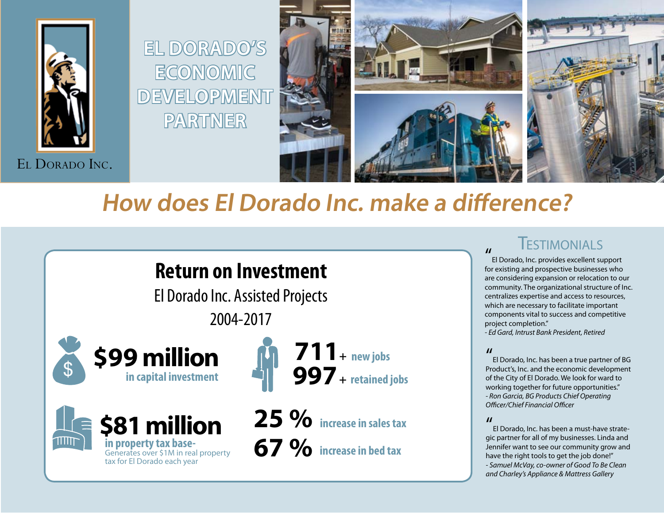



# **How does El Dorado Inc. make a difference?**

### **Return on Investment**

**economic** 

**partner**

El Dorado Inc. Assisted Projects 2004-2017







**25 % increase in sales tax 67 % increase in bed tax**

### **TESTIMONIALS**

El Dorado, Inc. provides excellent support for existing and prospective businesses who are considering expansion or relocation to our community. The organizational structure of Inc. centralizes expertise and access to resources, which are necessary to facilitate important components vital to success and competitive project completion."

*- Ed Gard, Intrust Bank President, Retired*

#### $\boldsymbol{\prime\prime}$

El Dorado, Inc. has been a true partner of BG Product's, Inc. and the economic development of the City of El Dorado. We look for ward to working together for future opportunities." *- Ron Garcia, BG Products Chief Operating Officer/Chief Financial Officer*

#### $\boldsymbol{\mathit{ii}}$

El Dorado, Inc. has been a must-have strategic partner for all of my businesses. Linda and Jennifer want to see our community grow and have the right tools to get the job done!" *- Samuel McVay, co-owner of Good To Be Clean and Charley's Appliance & Mattress Gallery*